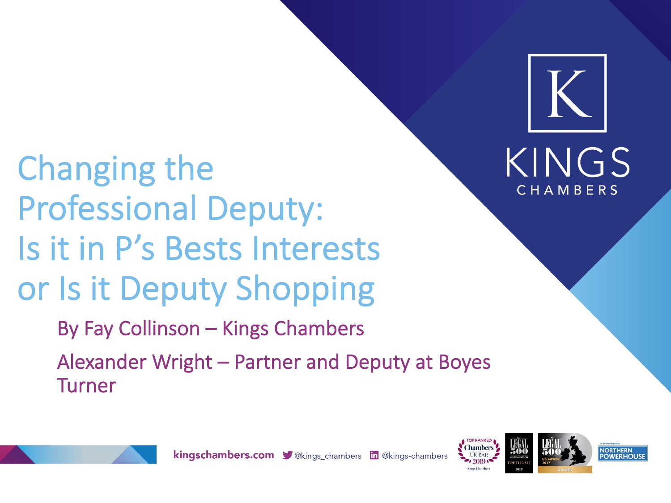Changing the Professional Deputy: Is it in P's Bests Interests or Is it Deputy Shopping By Fay Collinson – Kings Chambers

Alexander Wright – Partner and Deputy at Boyes Turner





KINGS

CHAMBERS

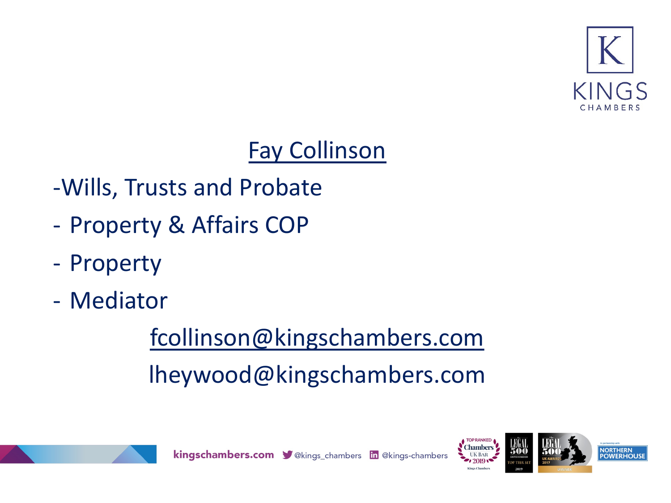## Fay Collinson

## -Wills, Trusts and Probate

- Property & Affairs COP
- Property
- Mediator

# fcollinson@kingschambers.com lheywood@kingschambers.com



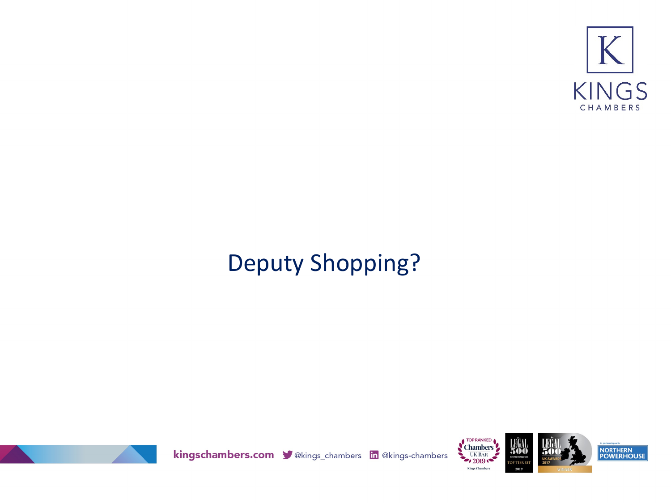

## Deputy Shopping?



kingschambers.com velongs\_chambers in @kings-chambers



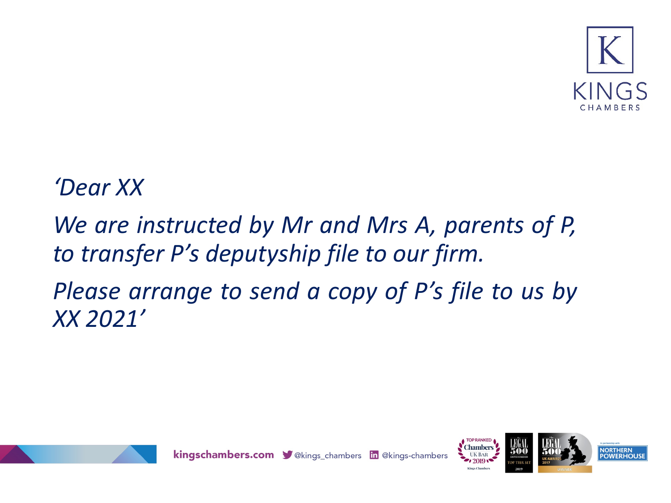

#### *'Dear XX*

### *We are instructed by Mr and Mrs A, parents of P, to transfer P's deputyship file to our firm. Please arrange to send a copy of P's file to us by XX 2021'*



kingschambers.com V @kings\_chambers in @kings-chambers





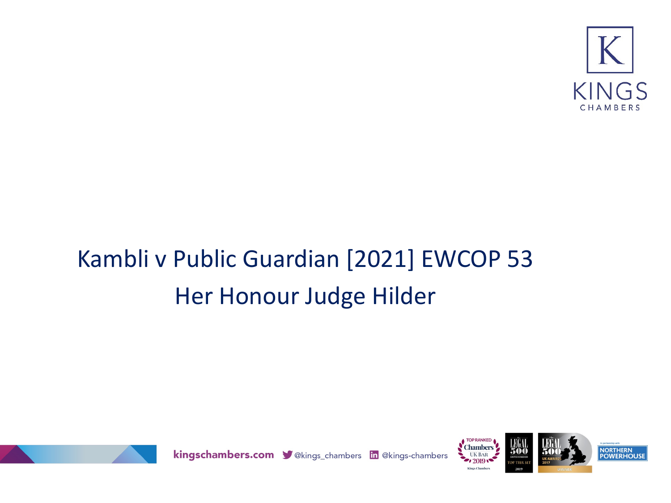

## Kambli v Public Guardian [2021] EWCOP 53 Her Honour Judge Hilder



kingschambers.com V@kings\_chambers in @kings-chambers



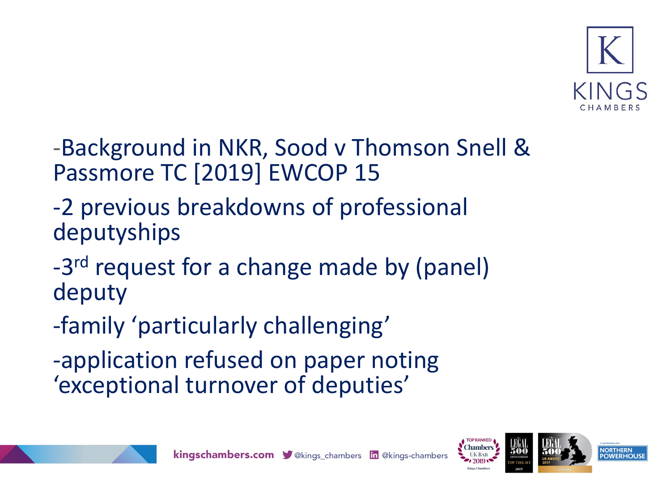

-Background in NKR, Sood v Thomson Snell & Passmore TC [2019] EWCOP 15

-2 previous breakdowns of professional deputyships

-3<sup>rd</sup> request for a change made by (panel) deputy

-family 'particularly challenging'

-application refused on paper noting 'exceptional turnover of deputies'





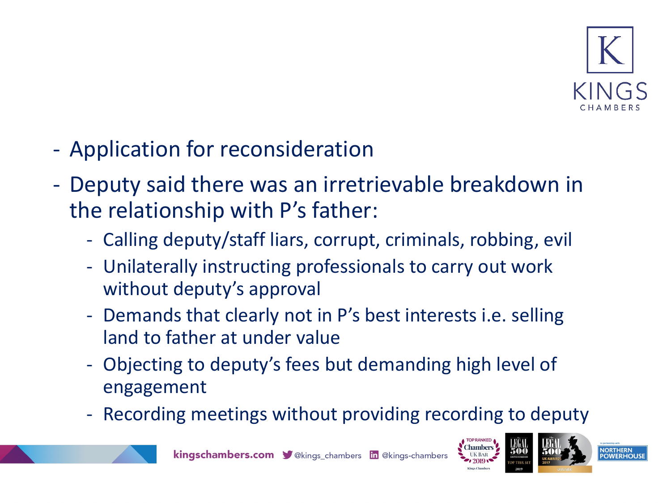

- Application for reconsideration
- Deputy said there was an irretrievable breakdown in the relationship with P's father:
	- Calling deputy/staff liars, corrupt, criminals, robbing, evil
	- Unilaterally instructing professionals to carry out work without deputy's approval
	- Demands that clearly not in P's best interests i.e. selling land to father at under value
	- Objecting to deputy's fees but demanding high level of engagement
	- Recording meetings without providing recording to deputy





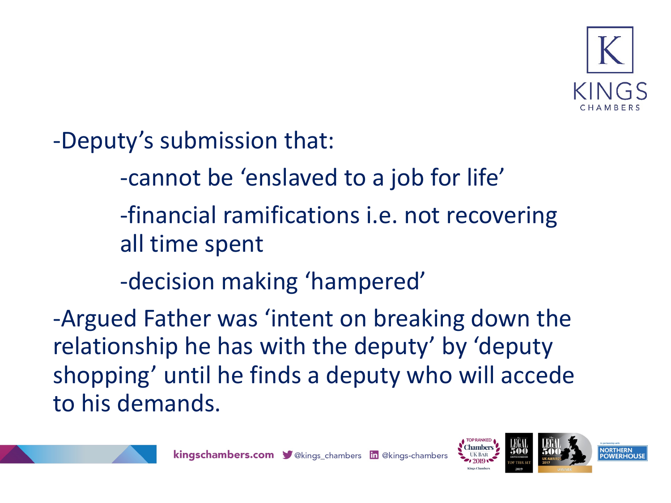

-Deputy's submission that:

-cannot be 'enslaved to a job for life'

-financial ramifications i.e. not recovering all time spent

-decision making 'hampered'

-Argued Father was 'intent on breaking down the relationship he has with the deputy' by 'deputy shopping' until he finds a deputy who will accede to his demands.



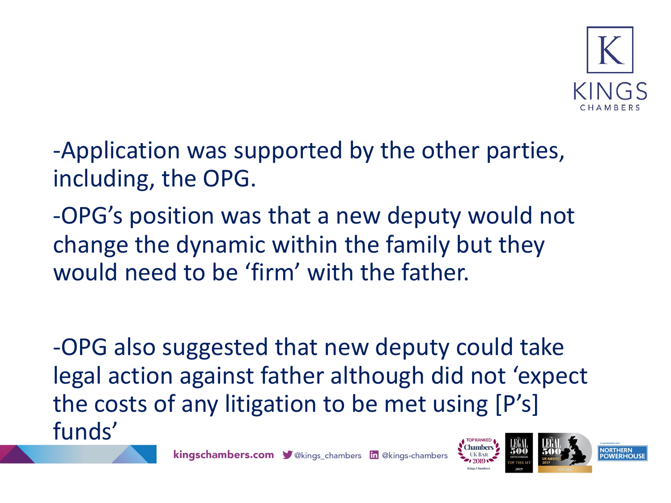

- -Application was supported by the other parties, including, the OPG.
- -OPG's position was that a new deputy would not change the dynamic within the family but they would need to be 'firm' with the father.

-OPG also suggested that new deputy could take legal action against father although did not 'expect the costs of any litigation to be met using [P's] funds'**TOP RANKED** 





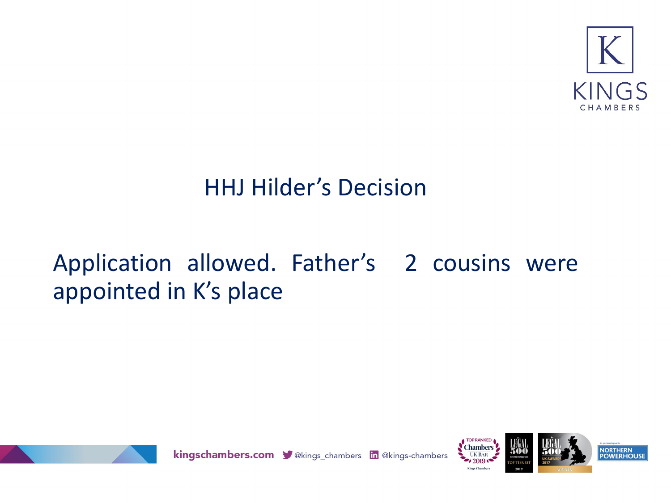

#### HHJ Hilder's Decision

### Application allowed. Father's 2 cousins were appointed in K's place



kingschambers.com V@kings\_chambers in @kings-chambers





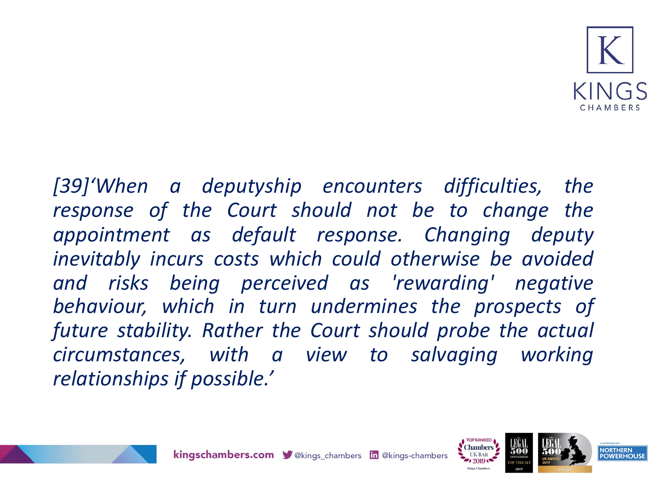

*[39]'When a deputyship encounters difficulties, the response of the Court should not be to change the appointment as default response. Changing deputy inevitably incurs costs which could otherwise be avoided and risks being perceived as 'rewarding' negative behaviour, which in turn undermines the prospects of future stability. Rather the Court should probe the actual circumstances, with a view to salvaging working relationships if possible.'*





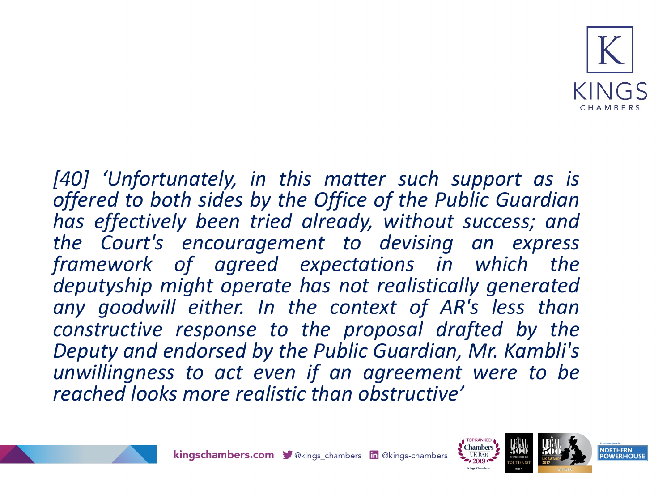

*[40] 'Unfortunately, in this matter such support as is offered to both sides by the Office of the Public Guardian has effectively been tried already, without success; and the Court's encouragement to devising an express framework of agreed expectations in which the deputyship might operate has not realistically generated any goodwill either. In the context of AR's less than constructive response to the proposal drafted by the Deputy and endorsed by the Public Guardian, Mr. Kambli's unwillingness to act even if an agreement were to be reached looks more realistic than obstructive'*





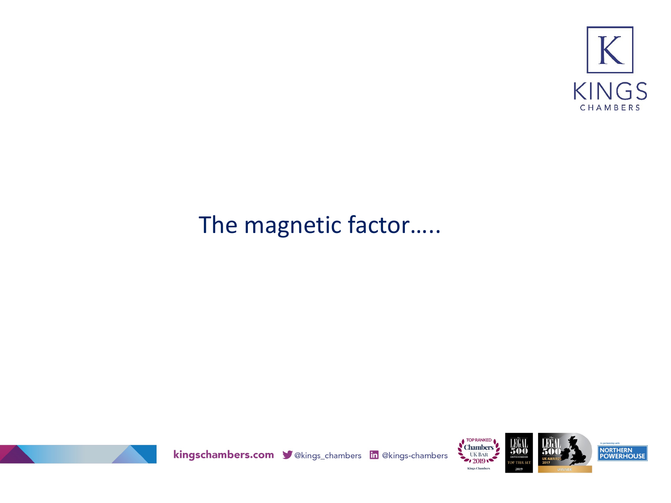

#### The magnetic factor.....



kingschambers.com velongs\_chambers in @kings-chambers



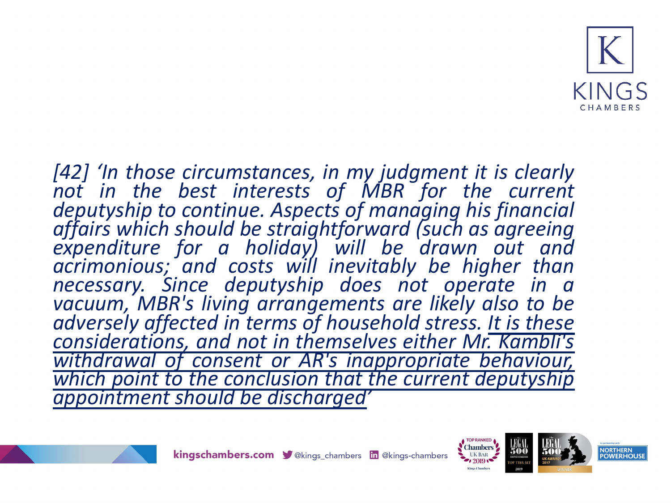

*[42] 'In those circumstances, in my judgment it is clearly not in the best interests of MBR for the current* deputyship to continue. Aspects of managing his financial<br>affairs which should be straightforward (such as agreeing<br>expenditure for a holiday) will be drawn out and *acrimonious; and costs will inevitably be higher than necessary. Since deputyship does not operate in a vacuum, MBR's living arrangements are likely also to be adversely affected in terms of household stress. It is these considerations, and not in themselves either Mr. Kambli's withdrawal of consent or AR's inappropriate behaviour, which point to the conclusion that the current deputyship appointment should be discharged'*







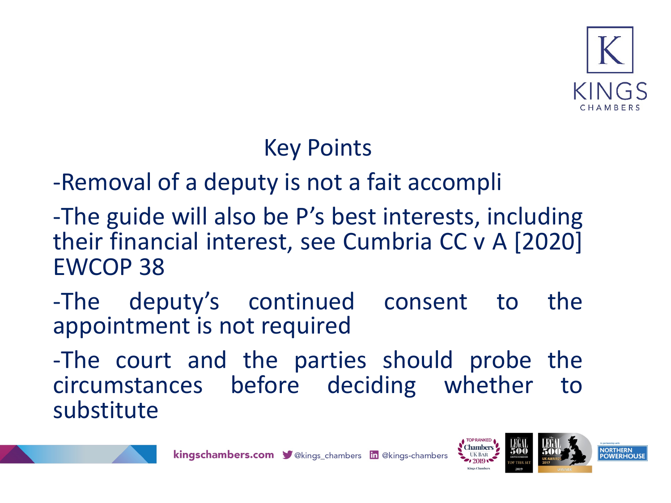

#### Key Points

-Removal of a deputy is not a fait accompli

- -The guide will also be P's best interests, including their financial interest, see Cumbria CC v A [2020] EWCOP 38
- -The deputy's continued consent to the appointment is not required
- -The court and the parties should probe the circumstances before deciding whether to substitute







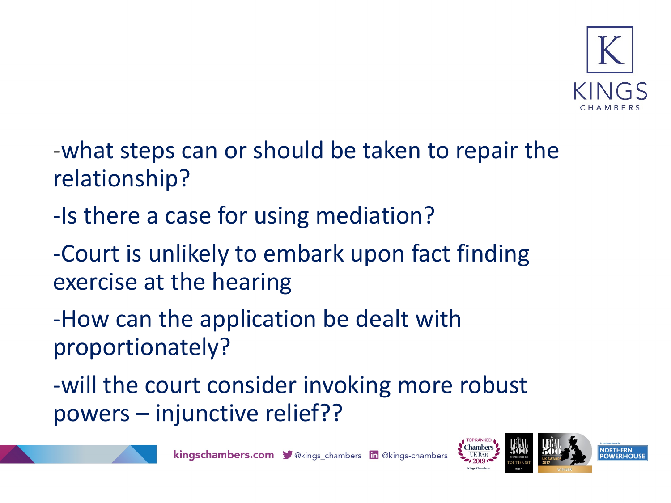

- -what steps can or should be taken to repair the relationship?
- -Is there a case for using mediation?
- -Court is unlikely to embark upon fact finding exercise at the hearing
- -How can the application be dealt with proportionately?
- -will the court consider invoking more robust powers – injunctive relief??





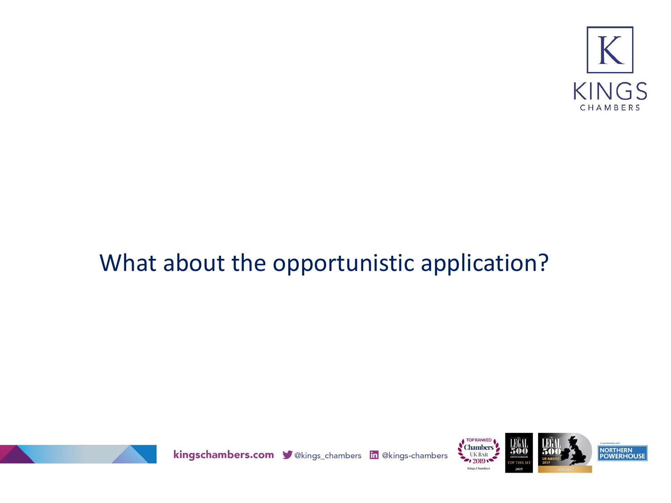

### What about the opportunistic application?



kingschambers.com V@kings\_chambers in @kings-chambers



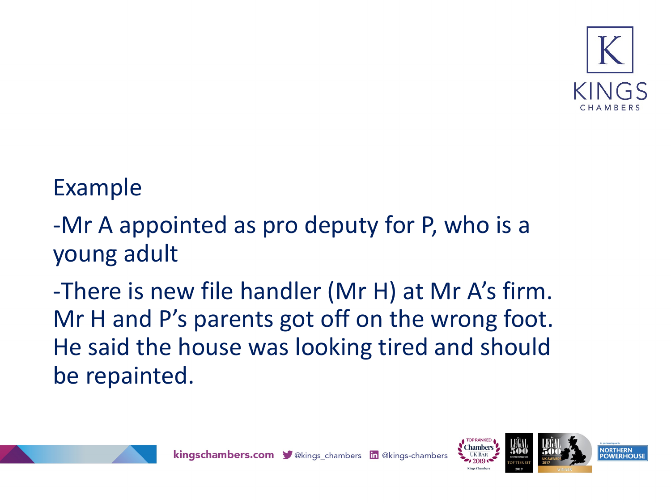

#### Example

- -Mr A appointed as pro deputy for P, who is a young adult
- -There is new file handler (Mr H) at Mr A's firm. Mr H and P's parents got off on the wrong foot. He said the house was looking tired and should be repainted.



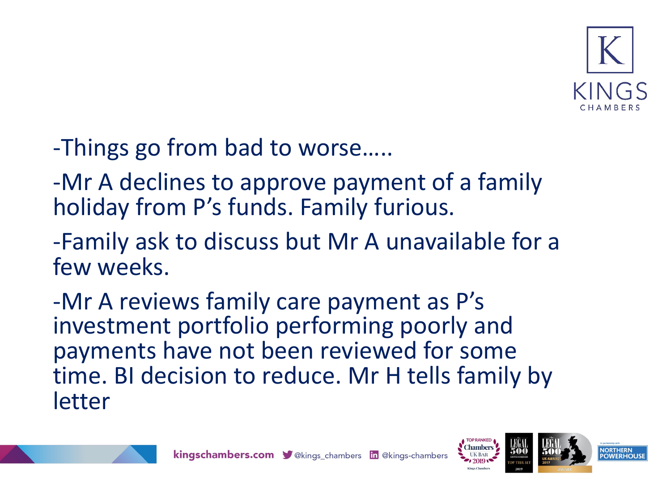

- -Things go from bad to worse…..
- -Mr A declines to approve payment of a family holiday from P's funds. Family furious.
- -Family ask to discuss but Mr A unavailable for a few weeks.
- -Mr A reviews family care payment as P's investment portfolio performing poorly and payments have not been reviewed for some time. BI decision to reduce. Mr H tells family by letter



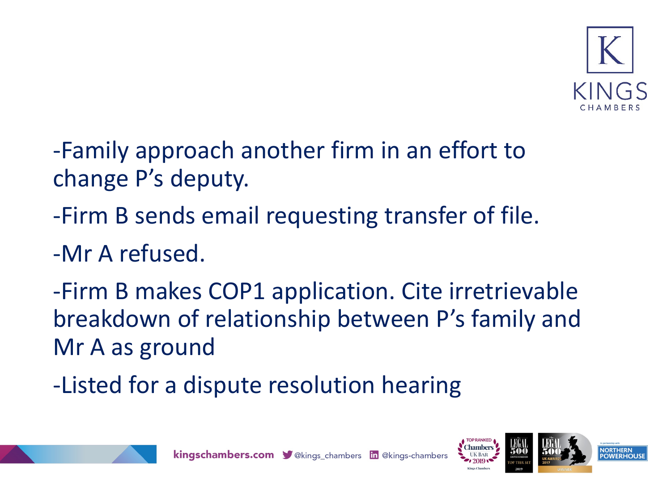

- -Family approach another firm in an effort to change P's deputy.
- -Firm B sends email requesting transfer of file.
- -Mr A refused.
- -Firm B makes COP1 application. Cite irretrievable breakdown of relationship between P's family and Mr A as ground
- -Listed for a dispute resolution hearing